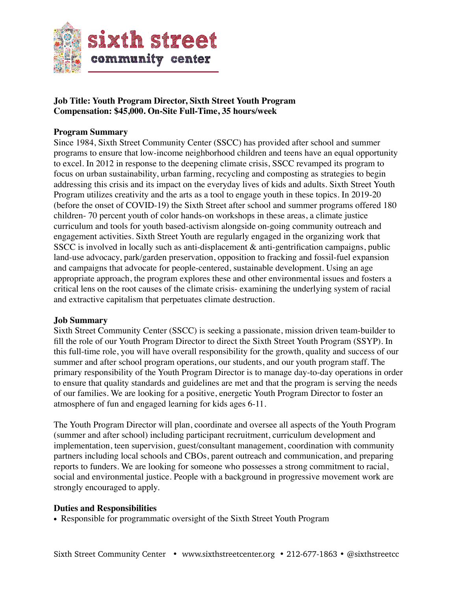

## **Job Title: Youth Program Director, Sixth Street Youth Program Compensation: \$45,000. On-Site Full-Time, 35 hours/week**

### **Program Summary**

Since 1984, Sixth Street Community Center (SSCC) has provided after school and summer programs to ensure that low-income neighborhood children and teens have an equal opportunity to excel. In 2012 in response to the deepening climate crisis, SSCC revamped its program to focus on urban sustainability, urban farming, recycling and composting as strategies to begin addressing this crisis and its impact on the everyday lives of kids and adults. Sixth Street Youth Program utilizes creativity and the arts as a tool to engage youth in these topics. In 2019-20 (before the onset of COVID-19) the Sixth Street after school and summer programs offered 180 children- 70 percent youth of color hands-on workshops in these areas, a climate justice curriculum and tools for youth based-activism alongside on-going community outreach and engagement activities. Sixth Street Youth are regularly engaged in the organizing work that SSCC is involved in locally such as anti-displacement & anti-gentrification campaigns, public land-use advocacy, park/garden preservation, opposition to fracking and fossil-fuel expansion and campaigns that advocate for people-centered, sustainable development. Using an age appropriate approach, the program explores these and other environmental issues and fosters a critical lens on the root causes of the climate crisis- examining the underlying system of racial and extractive capitalism that perpetuates climate destruction.

#### **Job Summary**

Sixth Street Community Center (SSCC) is seeking a passionate, mission driven team-builder to fill the role of our Youth Program Director to direct the Sixth Street Youth Program (SSYP). In this full-time role, you will have overall responsibility for the growth, quality and success of our summer and after school program operations, our students, and our youth program staff. The primary responsibility of the Youth Program Director is to manage day-to-day operations in order to ensure that quality standards and guidelines are met and that the program is serving the needs of our families. We are looking for a positive, energetic Youth Program Director to foster an atmosphere of fun and engaged learning for kids ages 6-11.

The Youth Program Director will plan, coordinate and oversee all aspects of the Youth Program (summer and after school) including participant recruitment, curriculum development and implementation, teen supervision, guest/consultant management, coordination with community partners including local schools and CBOs, parent outreach and communication, and preparing reports to funders. We are looking for someone who possesses a strong commitment to racial, social and environmental justice. People with a background in progressive movement work are strongly encouraged to apply.

#### **Duties and Responsibilities**

• Responsible for programmatic oversight of the Sixth Street Youth Program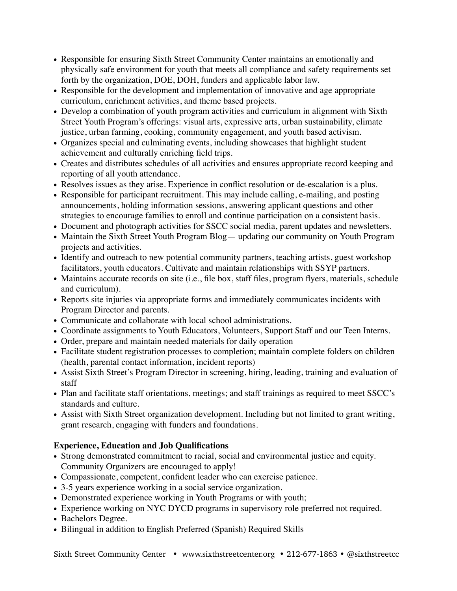- Responsible for ensuring Sixth Street Community Center maintains an emotionally and physically safe environment for youth that meets all compliance and safety requirements set forth by the organization, DOE, DOH, funders and applicable labor law.
- Responsible for the development and implementation of innovative and age appropriate curriculum, enrichment activities, and theme based projects.
- Develop a combination of youth program activities and curriculum in alignment with Sixth Street Youth Program's offerings: visual arts, expressive arts, urban sustainability, climate justice, urban farming, cooking, community engagement, and youth based activism.
- Organizes special and culminating events, including showcases that highlight student achievement and culturally enriching field trips.
- Creates and distributes schedules of all activities and ensures appropriate record keeping and reporting of all youth attendance.
- Resolves issues as they arise. Experience in conflict resolution or de-escalation is a plus.
- Responsible for participant recruitment. This may include calling, e-mailing, and posting announcements, holding information sessions, answering applicant questions and other strategies to encourage families to enroll and continue participation on a consistent basis.
- Document and photograph activities for SSCC social media, parent updates and newsletters.
- Maintain the Sixth Street Youth Program Blog updating our community on Youth Program projects and activities.
- Identify and outreach to new potential community partners, teaching artists, guest workshop facilitators, youth educators. Cultivate and maintain relationships with SSYP partners.
- Maintains accurate records on site (i.e., file box, staff files, program flyers, materials, schedule and curriculum).
- Reports site injuries via appropriate forms and immediately communicates incidents with Program Director and parents.
- Communicate and collaborate with local school administrations.
- Coordinate assignments to Youth Educators, Volunteers, Support Staff and our Teen Interns.
- Order, prepare and maintain needed materials for daily operation
- Facilitate student registration processes to completion; maintain complete folders on children (health, parental contact information, incident reports)
- Assist Sixth Street's Program Director in screening, hiring, leading, training and evaluation of staff
- Plan and facilitate staff orientations, meetings; and staff trainings as required to meet SSCC's standards and culture.
- Assist with Sixth Street organization development. Including but not limited to grant writing, grant research, engaging with funders and foundations.

# **Experience, Education and Job Qualifications**

- Strong demonstrated commitment to racial, social and environmental justice and equity. Community Organizers are encouraged to apply!
- Compassionate, competent, confident leader who can exercise patience.
- 3-5 years experience working in a social service organization.
- Demonstrated experience working in Youth Programs or with youth;
- Experience working on NYC DYCD programs in supervisory role preferred not required.
- Bachelors Degree.
- Bilingual in addition to English Preferred (Spanish) Required Skills